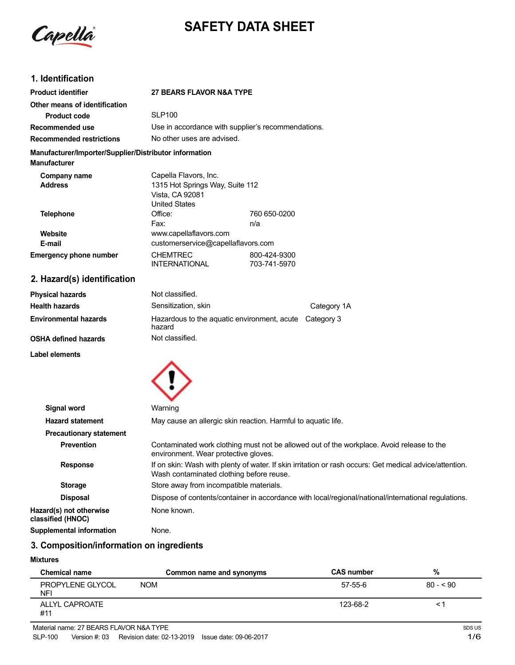

# **SAFETY DATA SHEET**

# **1. Identification**

| <b>Product identifier</b>                                                     | <b>27 BEARS FLAVOR N&amp;A TYPE</b>                                        |                                                    |  |
|-------------------------------------------------------------------------------|----------------------------------------------------------------------------|----------------------------------------------------|--|
| Other means of identification                                                 |                                                                            |                                                    |  |
| Product code                                                                  | <b>SLP100</b>                                                              |                                                    |  |
| Recommended use                                                               |                                                                            | Use in accordance with supplier's recommendations. |  |
| <b>Recommended restrictions</b>                                               |                                                                            | No other uses are advised.                         |  |
| Manufacturer/Importer/Supplier/Distributor information<br><b>Manufacturer</b> |                                                                            |                                                    |  |
| Company name                                                                  | Capella Flavors, Inc.                                                      |                                                    |  |
| <b>Address</b>                                                                | 1315 Hot Springs Way, Suite 112<br>Vista, CA 92081<br><b>United States</b> |                                                    |  |
| <b>Telephone</b>                                                              | Office:                                                                    | 760 650-0200                                       |  |
|                                                                               | Fax:                                                                       | n/a                                                |  |
| Website                                                                       | www.capellaflavors.com                                                     |                                                    |  |
| E-mail                                                                        |                                                                            | customerservice@capellaflavors.com                 |  |
| <b>Emergency phone number</b>                                                 | <b>CHEMTREC</b><br><b>INTERNATIONAL</b>                                    | 800-424-9300<br>703-741-5970                       |  |

# **2. Hazard(s) identification**

| Physical hazards             | Not classified.                                                  |             |
|------------------------------|------------------------------------------------------------------|-------------|
| Health hazards               | Sensitization, skin                                              | Category 1A |
| <b>Environmental hazards</b> | Hazardous to the aquatic environment, acute Category 3<br>hazard |             |
| OSHA defined hazards         | Not classified.                                                  |             |
|                              |                                                                  |             |

**Label elements**



| Signal word                                  | Warning                                                                                                                                             |
|----------------------------------------------|-----------------------------------------------------------------------------------------------------------------------------------------------------|
| <b>Hazard statement</b>                      | May cause an allergic skin reaction. Harmful to aguatic life.                                                                                       |
| <b>Precautionary statement</b>               |                                                                                                                                                     |
| <b>Prevention</b>                            | Contaminated work clothing must not be allowed out of the workplace. Avoid release to the<br>environment. Wear protective gloves.                   |
| <b>Response</b>                              | If on skin: Wash with plenty of water. If skin irritation or rash occurs: Get medical advice/attention.<br>Wash contaminated clothing before reuse. |
| <b>Storage</b>                               | Store away from incompatible materials.                                                                                                             |
| <b>Disposal</b>                              | Dispose of contents/container in accordance with local/regional/national/international regulations.                                                 |
| Hazard(s) not otherwise<br>classified (HNOC) | None known.                                                                                                                                         |
| Supplemental information                     | None.                                                                                                                                               |

# **3. Composition/information on ingredients**

#### **Mixtures**

| <b>Chemical name</b>    | Common name and synonyms | <b>CAS number</b> | %         |
|-------------------------|--------------------------|-------------------|-----------|
| PROPYLENE GLYCOL<br>NFI | <b>NOM</b>               | 57-55-6           | $80 - 50$ |
| ALLYL CAPROATE<br>#11   |                          | 123-68-2          |           |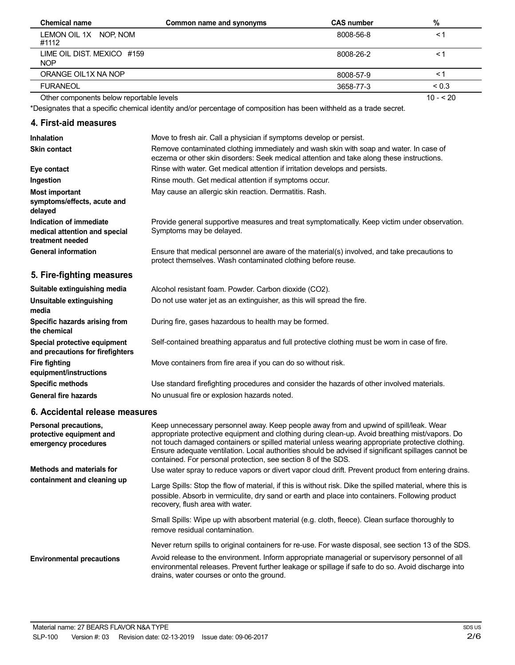| <b>Chemical name</b>                     | Common name and synonyms | <b>CAS number</b> | %          |
|------------------------------------------|--------------------------|-------------------|------------|
| LEMON OIL 1X NOP, NOM<br>#1112           |                          | 8008-56-8         | <1         |
| LIME OIL DIST. MEXICO #159<br><b>NOP</b> |                          | 8008-26-2         | <1         |
| ORANGE OIL1X NA NOP                      |                          | 8008-57-9         | ≺1         |
| <b>FURANEOL</b>                          |                          | 3658-77-3         | ${}_{0.3}$ |
| Other components below reportable levels |                          |                   | $10 - 20$  |

Other components below reportable levels

\*Designates that a specific chemical identity and/or percentage of composition has been withheld as a trade secret.

## **4. First-aid measures**

| Inhalation                                                                   | Move to fresh air. Call a physician if symptoms develop or persist.                                                                                                                 |
|------------------------------------------------------------------------------|-------------------------------------------------------------------------------------------------------------------------------------------------------------------------------------|
| <b>Skin contact</b>                                                          | Remove contaminated clothing immediately and wash skin with soap and water. In case of<br>eczema or other skin disorders: Seek medical attention and take along these instructions. |
| Eye contact                                                                  | Rinse with water. Get medical attention if irritation develops and persists.                                                                                                        |
| Ingestion                                                                    | Rinse mouth. Get medical attention if symptoms occur.                                                                                                                               |
| <b>Most important</b><br>symptoms/effects, acute and<br>delayed              | May cause an allergic skin reaction. Dermatitis. Rash.                                                                                                                              |
| Indication of immediate<br>medical attention and special<br>treatment needed | Provide general supportive measures and treat symptomatically. Keep victim under observation.<br>Symptoms may be delayed.                                                           |
| <b>General information</b>                                                   | Ensure that medical personnel are aware of the material(s) involved, and take precautions to<br>protect themselves. Wash contaminated clothing before reuse.                        |
| 5. Fire-fighting measures                                                    |                                                                                                                                                                                     |
| Suitable extinguishing media                                                 | Alcohol resistant foam. Powder. Carbon dioxide (CO2).                                                                                                                               |
| Unsuitable extinguishing<br>media                                            | Do not use water jet as an extinguisher, as this will spread the fire.                                                                                                              |
| Specific hazards arising from<br>the chemical                                | During fire, gases hazardous to health may be formed.                                                                                                                               |
| Special protective equipment<br>and precautions for firefighters             | Self-contained breathing apparatus and full protective clothing must be worn in case of fire.                                                                                       |
| <b>Fire fighting</b><br>equipment/instructions                               | Move containers from fire area if you can do so without risk.                                                                                                                       |
| <b>Specific methods</b>                                                      | Use standard firefighting procedures and consider the hazards of other involved materials.                                                                                          |
| <b>General fire hazards</b>                                                  | No unusual fire or explosion hazards noted.                                                                                                                                         |

# **6. Accidental release measures**

| Personal precautions,<br>protective equipment and<br>emergency procedures | Keep unnecessary personnel away. Keep people away from and upwind of spill/leak. Wear<br>appropriate protective equipment and clothing during clean-up. Avoid breathing mist/vapors. Do<br>not touch damaged containers or spilled material unless wearing appropriate protective clothing.<br>Ensure adequate ventilation. Local authorities should be advised if significant spillages cannot be<br>contained. For personal protection, see section 8 of the SDS. |
|---------------------------------------------------------------------------|---------------------------------------------------------------------------------------------------------------------------------------------------------------------------------------------------------------------------------------------------------------------------------------------------------------------------------------------------------------------------------------------------------------------------------------------------------------------|
| Methods and materials for                                                 | Use water spray to reduce vapors or divert vapor cloud drift. Prevent product from entering drains.                                                                                                                                                                                                                                                                                                                                                                 |
| containment and cleaning up                                               | Large Spills: Stop the flow of material, if this is without risk. Dike the spilled material, where this is<br>possible. Absorb in vermiculite, dry sand or earth and place into containers. Following product<br>recovery, flush area with water.                                                                                                                                                                                                                   |
|                                                                           | Small Spills: Wipe up with absorbent material (e.g. cloth, fleece). Clean surface thoroughly to<br>remove residual contamination.                                                                                                                                                                                                                                                                                                                                   |
|                                                                           | Never return spills to original containers for re-use. For waste disposal, see section 13 of the SDS.                                                                                                                                                                                                                                                                                                                                                               |
| <b>Environmental precautions</b>                                          | Avoid release to the environment. Inform appropriate managerial or supervisory personnel of all<br>environmental releases. Prevent further leakage or spillage if safe to do so. Avoid discharge into<br>drains, water courses or onto the ground.                                                                                                                                                                                                                  |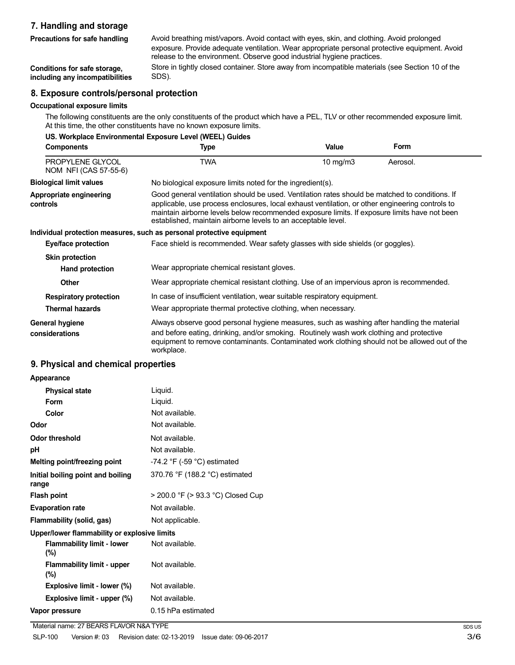## **7. Handling and storage**

**Precautions for safe handling**

Avoid breathing mist/vapors. Avoid contact with eyes, skin, and clothing. Avoid prolonged exposure. Provide adequate ventilation. Wear appropriate personal protective equipment. Avoid release to the environment. Observe good industrial hygiene practices.

**Conditions for safe storage, including any incompatibilities**

## Store in tightly closed container. Store away from incompatible materials (see Section 10 of the SDS).

### **8. Exposure controls/personal protection**

#### **Occupational exposure limits**

The following constituents are the only constituents of the product which have a PEL, TLV or other recommended exposure limit. At this time, the other constituents have no known exposure limits.

| US. Workplace Environmental Exposure Level (WEEL) Guides |                                                                                                                                                                                                                                                                                                                                                                    |          |             |
|----------------------------------------------------------|--------------------------------------------------------------------------------------------------------------------------------------------------------------------------------------------------------------------------------------------------------------------------------------------------------------------------------------------------------------------|----------|-------------|
| <b>Components</b>                                        | Type                                                                                                                                                                                                                                                                                                                                                               | Value    | <b>Form</b> |
| PROPYLENE GLYCOL<br>NOM NFI (CAS 57-55-6)                | TWA                                                                                                                                                                                                                                                                                                                                                                | 10 mg/m3 | Aerosol.    |
| <b>Biological limit values</b>                           | No biological exposure limits noted for the ingredient(s).                                                                                                                                                                                                                                                                                                         |          |             |
| Appropriate engineering<br>controls                      | Good general ventilation should be used. Ventilation rates should be matched to conditions. If<br>applicable, use process enclosures, local exhaust ventilation, or other engineering controls to<br>maintain airborne levels below recommended exposure limits. If exposure limits have not been<br>established, maintain airborne levels to an acceptable level. |          |             |
|                                                          | Individual protection measures, such as personal protective equipment                                                                                                                                                                                                                                                                                              |          |             |
| Eye/face protection                                      | Face shield is recommended. Wear safety glasses with side shields (or goggles).                                                                                                                                                                                                                                                                                    |          |             |
| <b>Skin protection</b>                                   |                                                                                                                                                                                                                                                                                                                                                                    |          |             |
| Hand protection                                          | Wear appropriate chemical resistant gloves.                                                                                                                                                                                                                                                                                                                        |          |             |
| <b>Other</b>                                             | Wear appropriate chemical resistant clothing. Use of an impervious apron is recommended.                                                                                                                                                                                                                                                                           |          |             |
| <b>Respiratory protection</b>                            | In case of insufficient ventilation, wear suitable respiratory equipment.                                                                                                                                                                                                                                                                                          |          |             |
| <b>Thermal hazards</b>                                   | Wear appropriate thermal protective clothing, when necessary.                                                                                                                                                                                                                                                                                                      |          |             |
| General hygiene<br>considerations                        | Always observe good personal hygiene measures, such as washing after handling the material<br>and before eating, drinking, and/or smoking. Routinely wash work clothing and protective<br>equipment to remove contaminants. Contaminated work clothing should not be allowed out of the<br>workplace.                                                              |          |             |

#### **9. Physical and chemical properties**

#### **Appearance**

| <b>Physical state</b>                        | Liquid.                           |
|----------------------------------------------|-----------------------------------|
| Form                                         | Liquid.                           |
| Color                                        | Not available.                    |
| Odor                                         | Not available.                    |
| Odor threshold                               | Not available.                    |
| рH                                           | Not available.                    |
| Melting point/freezing point                 | $-74.2$ °F ( $-59$ °C) estimated  |
| Initial boiling point and boiling<br>range   | 370.76 °F (188.2 °C) estimated    |
| <b>Flash point</b>                           | > 200.0 °F (> 93.3 °C) Closed Cup |
| <b>Evaporation rate</b>                      | Not available.                    |
| Flammability (solid, gas)                    | Not applicable.                   |
| Upper/lower flammability or explosive limits |                                   |
| <b>Flammability limit - lower</b><br>$(\%)$  | Not available.                    |
| <b>Flammability limit - upper</b><br>$(\%)$  | Not available.                    |
| Explosive limit - lower (%)                  | Not available.                    |
| Explosive limit - upper (%)                  | Not available.                    |

**Vapor pressure** 0.15 hPa estimated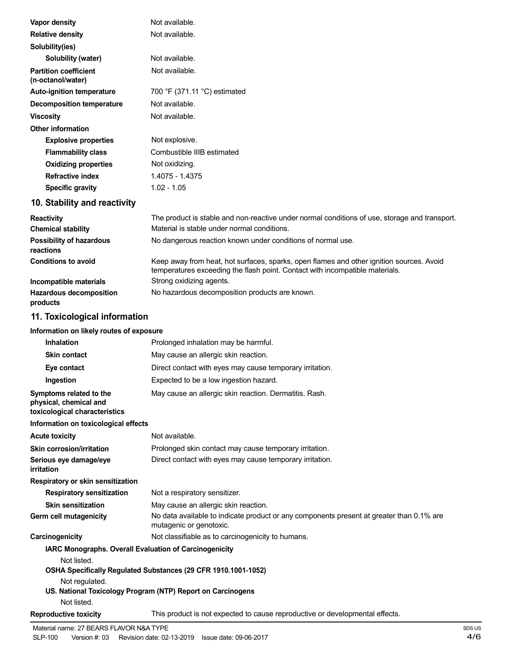| Vapor density                                                                      | Not available.                                                                                                                                                           |
|------------------------------------------------------------------------------------|--------------------------------------------------------------------------------------------------------------------------------------------------------------------------|
| <b>Relative density</b>                                                            | Not available.                                                                                                                                                           |
| Solubility(ies)                                                                    |                                                                                                                                                                          |
| Solubility (water)                                                                 | Not available.                                                                                                                                                           |
| <b>Partition coefficient</b><br>(n-octanol/water)                                  | Not available.                                                                                                                                                           |
| <b>Auto-ignition temperature</b>                                                   | 700 °F (371.11 °C) estimated                                                                                                                                             |
| <b>Decomposition temperature</b>                                                   | Not available.                                                                                                                                                           |
| <b>Viscosity</b>                                                                   | Not available.                                                                                                                                                           |
| <b>Other information</b>                                                           |                                                                                                                                                                          |
| <b>Explosive properties</b>                                                        | Not explosive.                                                                                                                                                           |
| <b>Flammability class</b>                                                          | Combustible IIIB estimated                                                                                                                                               |
| <b>Oxidizing properties</b>                                                        | Not oxidizing.                                                                                                                                                           |
| <b>Refractive index</b>                                                            | 1.4075 - 1.4375                                                                                                                                                          |
| <b>Specific gravity</b>                                                            | $1.02 - 1.05$                                                                                                                                                            |
| 10. Stability and reactivity                                                       |                                                                                                                                                                          |
| <b>Reactivity</b>                                                                  | The product is stable and non-reactive under normal conditions of use, storage and transport.                                                                            |
| <b>Chemical stability</b>                                                          | Material is stable under normal conditions.                                                                                                                              |
| <b>Possibility of hazardous</b><br>reactions                                       | No dangerous reaction known under conditions of normal use.                                                                                                              |
| <b>Conditions to avoid</b>                                                         | Keep away from heat, hot surfaces, sparks, open flames and other ignition sources. Avoid<br>temperatures exceeding the flash point. Contact with incompatible materials. |
| Incompatible materials                                                             | Strong oxidizing agents.                                                                                                                                                 |
| <b>Hazardous decomposition</b><br>products                                         | No hazardous decomposition products are known.                                                                                                                           |
| 11. Toxicological information                                                      |                                                                                                                                                                          |
| Information on likely routes of exposure                                           |                                                                                                                                                                          |
| <b>Inhalation</b>                                                                  | Prolonged inhalation may be harmful.                                                                                                                                     |
| <b>Skin contact</b>                                                                | May cause an allergic skin reaction.                                                                                                                                     |
| Eye contact                                                                        | Direct contact with eyes may cause temporary irritation.                                                                                                                 |
| Ingestion                                                                          | Expected to be a low ingestion hazard.                                                                                                                                   |
| Symptoms related to the<br>physical, chemical and<br>toxicological characteristics | May cause an allergic skin reaction. Dermatitis. Rash.                                                                                                                   |
| Information on toxicological effects                                               |                                                                                                                                                                          |
| <b>Acute toxicity</b>                                                              | Not available.                                                                                                                                                           |
| Skin corrosion/irritation<br>Serious eye damage/eye                                | Prolonged skin contact may cause temporary irritation.<br>Direct contact with eyes may cause temporary irritation.                                                       |
| irritation                                                                         |                                                                                                                                                                          |
| Respiratory or skin sensitization                                                  |                                                                                                                                                                          |
| <b>Respiratory sensitization</b>                                                   | Not a respiratory sensitizer.                                                                                                                                            |
| <b>Skin sensitization</b>                                                          | May cause an allergic skin reaction.                                                                                                                                     |
| Germ cell mutagenicity                                                             | No data available to indicate product or any components present at greater than 0.1% are<br>mutagenic or genotoxic.                                                      |
| Carcinogenicity                                                                    | Not classifiable as to carcinogenicity to humans.                                                                                                                        |
| IARC Monographs. Overall Evaluation of Carcinogenicity<br>Not listed.              | OSHA Specifically Regulated Substances (29 CFR 1910.1001-1052)                                                                                                           |
| Not regulated.<br>Not listed.                                                      | US. National Toxicology Program (NTP) Report on Carcinogens                                                                                                              |
| <b>Reproductive toxicity</b>                                                       | This product is not expected to cause reproductive or developmental effects.                                                                                             |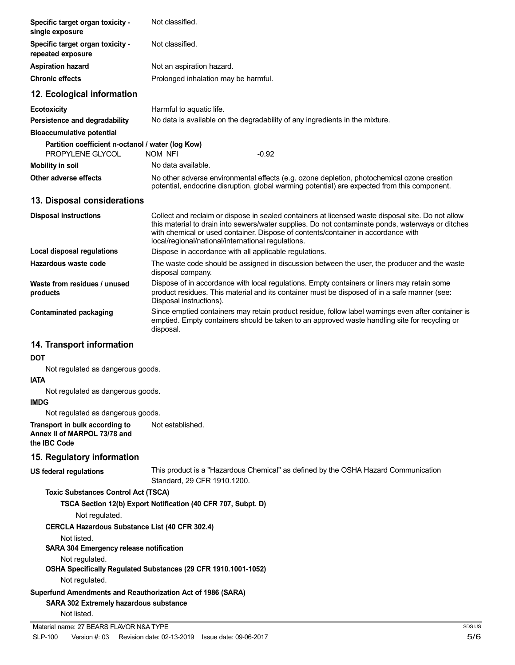| Specific target organ toxicity -<br>single exposure                                                   | Not classified.                                                                                                                                                                                                                                                                                                                                   |               |
|-------------------------------------------------------------------------------------------------------|---------------------------------------------------------------------------------------------------------------------------------------------------------------------------------------------------------------------------------------------------------------------------------------------------------------------------------------------------|---------------|
| Specific target organ toxicity -<br>repeated exposure                                                 | Not classified.                                                                                                                                                                                                                                                                                                                                   |               |
| <b>Aspiration hazard</b>                                                                              | Not an aspiration hazard.                                                                                                                                                                                                                                                                                                                         |               |
| <b>Chronic effects</b>                                                                                | Prolonged inhalation may be harmful.                                                                                                                                                                                                                                                                                                              |               |
| 12. Ecological information                                                                            |                                                                                                                                                                                                                                                                                                                                                   |               |
| <b>Ecotoxicity</b><br>Persistence and degradability                                                   | Harmful to aquatic life.<br>No data is available on the degradability of any ingredients in the mixture.                                                                                                                                                                                                                                          |               |
| <b>Bioaccumulative potential</b>                                                                      |                                                                                                                                                                                                                                                                                                                                                   |               |
| Partition coefficient n-octanol / water (log Kow)<br>PROPYLENE GLYCOL                                 | NOM NFI<br>$-0.92$                                                                                                                                                                                                                                                                                                                                |               |
| <b>Mobility in soil</b>                                                                               | No data available.                                                                                                                                                                                                                                                                                                                                |               |
| Other adverse effects                                                                                 | No other adverse environmental effects (e.g. ozone depletion, photochemical ozone creation<br>potential, endocrine disruption, global warming potential) are expected from this component.                                                                                                                                                        |               |
| 13. Disposal considerations                                                                           |                                                                                                                                                                                                                                                                                                                                                   |               |
| <b>Disposal instructions</b>                                                                          | Collect and reclaim or dispose in sealed containers at licensed waste disposal site. Do not allow<br>this material to drain into sewers/water supplies. Do not contaminate ponds, waterways or ditches<br>with chemical or used container. Dispose of contents/container in accordance with<br>local/regional/national/international regulations. |               |
| Local disposal regulations                                                                            | Dispose in accordance with all applicable regulations.                                                                                                                                                                                                                                                                                            |               |
| Hazardous waste code                                                                                  | The waste code should be assigned in discussion between the user, the producer and the waste<br>disposal company.                                                                                                                                                                                                                                 |               |
| Waste from residues / unused<br>products                                                              | Dispose of in accordance with local regulations. Empty containers or liners may retain some<br>product residues. This material and its container must be disposed of in a safe manner (see:<br>Disposal instructions).                                                                                                                            |               |
| <b>Contaminated packaging</b>                                                                         | Since emptied containers may retain product residue, follow label warnings even after container is<br>emptied. Empty containers should be taken to an approved waste handling site for recycling or<br>disposal.                                                                                                                                  |               |
| 14. Transport information                                                                             |                                                                                                                                                                                                                                                                                                                                                   |               |
| DOT                                                                                                   |                                                                                                                                                                                                                                                                                                                                                   |               |
| Not regulated as dangerous goods.<br><b>IATA</b>                                                      |                                                                                                                                                                                                                                                                                                                                                   |               |
| Not regulated as dangerous goods.<br><b>IMDG</b>                                                      |                                                                                                                                                                                                                                                                                                                                                   |               |
| Not regulated as dangerous goods.                                                                     |                                                                                                                                                                                                                                                                                                                                                   |               |
| Transport in bulk according to<br>Annex II of MARPOL 73/78 and<br>the IBC Code                        | Not established.                                                                                                                                                                                                                                                                                                                                  |               |
| 15. Regulatory information                                                                            |                                                                                                                                                                                                                                                                                                                                                   |               |
| <b>US federal regulations</b>                                                                         | This product is a "Hazardous Chemical" as defined by the OSHA Hazard Communication<br>Standard, 29 CFR 1910.1200.                                                                                                                                                                                                                                 |               |
| <b>Toxic Substances Control Act (TSCA)</b>                                                            |                                                                                                                                                                                                                                                                                                                                                   |               |
| Not regulated.                                                                                        | TSCA Section 12(b) Export Notification (40 CFR 707, Subpt. D)                                                                                                                                                                                                                                                                                     |               |
| <b>CERCLA Hazardous Substance List (40 CFR 302.4)</b>                                                 |                                                                                                                                                                                                                                                                                                                                                   |               |
| Not listed.<br>SARA 304 Emergency release notification                                                |                                                                                                                                                                                                                                                                                                                                                   |               |
| Not regulated.<br>Not regulated.                                                                      | OSHA Specifically Regulated Substances (29 CFR 1910.1001-1052)                                                                                                                                                                                                                                                                                    |               |
| Superfund Amendments and Reauthorization Act of 1986 (SARA)<br>SARA 302 Extremely hazardous substance |                                                                                                                                                                                                                                                                                                                                                   |               |
| Not listed.                                                                                           |                                                                                                                                                                                                                                                                                                                                                   |               |
| Material name: 27 BEARS FLAVOR N&A TYPE<br><b>SLP-100</b><br>Version #: 03                            |                                                                                                                                                                                                                                                                                                                                                   | SDS US<br>5/6 |